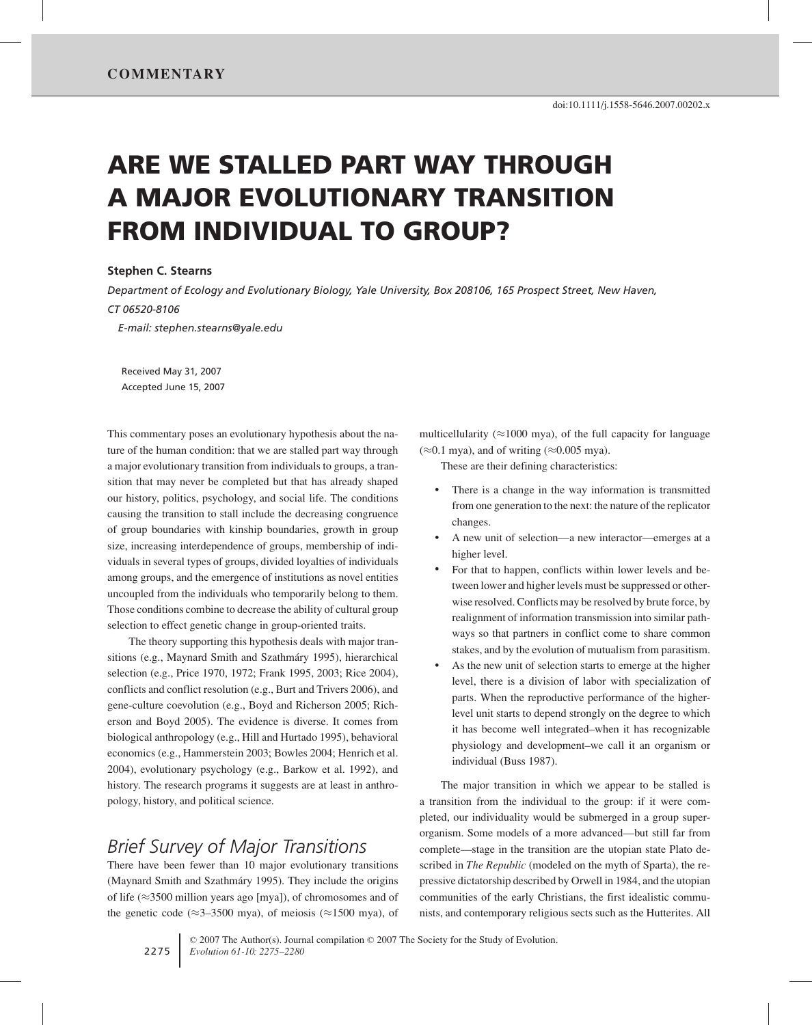# **ARE WE STALLED PART WAY THROUGH A MAJOR EVOLUTIONARY TRANSITION FROM INDIVIDUAL TO GROUP?**

#### **Stephen C. Stearns**

*Department of Ecology and Evolutionary Biology, Yale University, Box 208106, 165 Prospect Street, New Haven, CT 06520-8106*

*E-mail: stephen.stearns@yale.edu*

Received May 31, 2007 Accepted June 15, 2007

This commentary poses an evolutionary hypothesis about the nature of the human condition: that we are stalled part way through a major evolutionary transition from individuals to groups, a transition that may never be completed but that has already shaped our history, politics, psychology, and social life. The conditions causing the transition to stall include the decreasing congruence of group boundaries with kinship boundaries, growth in group size, increasing interdependence of groups, membership of individuals in several types of groups, divided loyalties of individuals among groups, and the emergence of institutions as novel entities uncoupled from the individuals who temporarily belong to them. Those conditions combine to decrease the ability of cultural group selection to effect genetic change in group-oriented traits.

The theory supporting this hypothesis deals with major transitions (e.g., Maynard Smith and Szathmáry 1995), hierarchical selection (e.g., Price 1970, 1972; Frank 1995, 2003; Rice 2004), conflicts and conflict resolution (e.g., Burt and Trivers 2006), and gene-culture coevolution (e.g., Boyd and Richerson 2005; Richerson and Boyd 2005). The evidence is diverse. It comes from biological anthropology (e.g., Hill and Hurtado 1995), behavioral economics (e.g., Hammerstein 2003; Bowles 2004; Henrich et al. 2004), evolutionary psychology (e.g., Barkow et al. 1992), and history. The research programs it suggests are at least in anthropology, history, and political science.

## *Brief Survey of Major Transitions*

There have been fewer than 10 major evolutionary transitions (Maynard Smith and Szathmáry 1995). They include the origins of life (≈3500 million years ago [mya]), of chromosomes and of the genetic code ( $\approx$ 3–3500 mya), of meiosis ( $\approx$ 1500 mya), of multicellularity ( $\approx$ 1000 mya), of the full capacity for language  $(\approx 0.1$  mya), and of writing ( $\approx 0.005$  mya).

These are their defining characteristics:

- There is a change in the way information is transmitted from one generation to the next: the nature of the replicator changes.
- A new unit of selection—a new interactor—emerges at a higher level.
- For that to happen, conflicts within lower levels and between lower and higher levels must be suppressed or otherwise resolved. Conflicts may be resolved by brute force, by realignment of information transmission into similar pathways so that partners in conflict come to share common stakes, and by the evolution of mutualism from parasitism.
- As the new unit of selection starts to emerge at the higher level, there is a division of labor with specialization of parts. When the reproductive performance of the higherlevel unit starts to depend strongly on the degree to which it has become well integrated–when it has recognizable physiology and development–we call it an organism or individual (Buss 1987).

The major transition in which we appear to be stalled is a transition from the individual to the group: if it were completed, our individuality would be submerged in a group superorganism. Some models of a more advanced—but still far from complete—stage in the transition are the utopian state Plato described in *The Republic* (modeled on the myth of Sparta), the repressive dictatorship described by Orwell in 1984, and the utopian communities of the early Christians, the first idealistic communists, and contemporary religious sects such as the Hutterites. All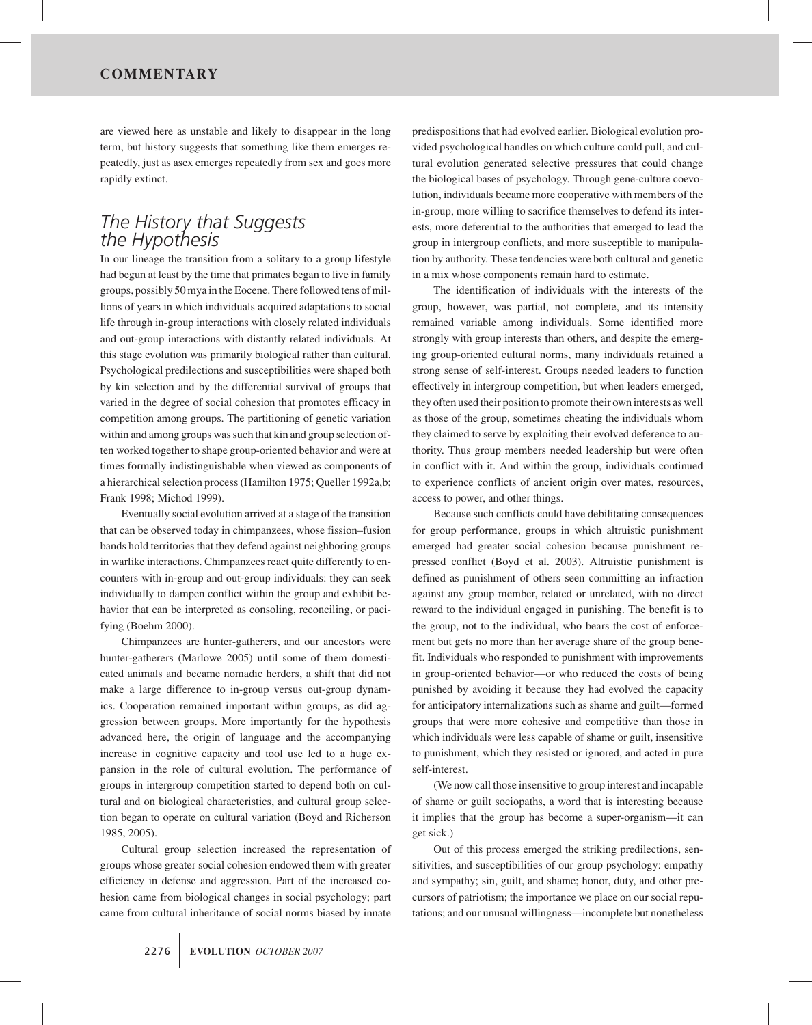are viewed here as unstable and likely to disappear in the long term, but history suggests that something like them emerges repeatedly, just as asex emerges repeatedly from sex and goes more rapidly extinct.

### *The History that Suggests the Hypothesis*

In our lineage the transition from a solitary to a group lifestyle had begun at least by the time that primates began to live in family groups, possibly 50 mya in the Eocene. There followed tens of millions of years in which individuals acquired adaptations to social life through in-group interactions with closely related individuals and out-group interactions with distantly related individuals. At this stage evolution was primarily biological rather than cultural. Psychological predilections and susceptibilities were shaped both by kin selection and by the differential survival of groups that varied in the degree of social cohesion that promotes efficacy in competition among groups. The partitioning of genetic variation within and among groups was such that kin and group selection often worked together to shape group-oriented behavior and were at times formally indistinguishable when viewed as components of a hierarchical selection process (Hamilton 1975; Queller 1992a,b; Frank 1998; Michod 1999).

Eventually social evolution arrived at a stage of the transition that can be observed today in chimpanzees, whose fission–fusion bands hold territories that they defend against neighboring groups in warlike interactions. Chimpanzees react quite differently to encounters with in-group and out-group individuals: they can seek individually to dampen conflict within the group and exhibit behavior that can be interpreted as consoling, reconciling, or pacifying (Boehm 2000).

Chimpanzees are hunter-gatherers, and our ancestors were hunter-gatherers (Marlowe 2005) until some of them domesticated animals and became nomadic herders, a shift that did not make a large difference to in-group versus out-group dynamics. Cooperation remained important within groups, as did aggression between groups. More importantly for the hypothesis advanced here, the origin of language and the accompanying increase in cognitive capacity and tool use led to a huge expansion in the role of cultural evolution. The performance of groups in intergroup competition started to depend both on cultural and on biological characteristics, and cultural group selection began to operate on cultural variation (Boyd and Richerson 1985, 2005).

Cultural group selection increased the representation of groups whose greater social cohesion endowed them with greater efficiency in defense and aggression. Part of the increased cohesion came from biological changes in social psychology; part came from cultural inheritance of social norms biased by innate

predispositions that had evolved earlier. Biological evolution provided psychological handles on which culture could pull, and cultural evolution generated selective pressures that could change the biological bases of psychology. Through gene-culture coevolution, individuals became more cooperative with members of the in-group, more willing to sacrifice themselves to defend its interests, more deferential to the authorities that emerged to lead the group in intergroup conflicts, and more susceptible to manipulation by authority. These tendencies were both cultural and genetic in a mix whose components remain hard to estimate.

The identification of individuals with the interests of the group, however, was partial, not complete, and its intensity remained variable among individuals. Some identified more strongly with group interests than others, and despite the emerging group-oriented cultural norms, many individuals retained a strong sense of self-interest. Groups needed leaders to function effectively in intergroup competition, but when leaders emerged, they often used their position to promote their own interests as well as those of the group, sometimes cheating the individuals whom they claimed to serve by exploiting their evolved deference to authority. Thus group members needed leadership but were often in conflict with it. And within the group, individuals continued to experience conflicts of ancient origin over mates, resources, access to power, and other things.

Because such conflicts could have debilitating consequences for group performance, groups in which altruistic punishment emerged had greater social cohesion because punishment repressed conflict (Boyd et al. 2003). Altruistic punishment is defined as punishment of others seen committing an infraction against any group member, related or unrelated, with no direct reward to the individual engaged in punishing. The benefit is to the group, not to the individual, who bears the cost of enforcement but gets no more than her average share of the group benefit. Individuals who responded to punishment with improvements in group-oriented behavior—or who reduced the costs of being punished by avoiding it because they had evolved the capacity for anticipatory internalizations such as shame and guilt—formed groups that were more cohesive and competitive than those in which individuals were less capable of shame or guilt, insensitive to punishment, which they resisted or ignored, and acted in pure self-interest.

(We now call those insensitive to group interest and incapable of shame or guilt sociopaths, a word that is interesting because it implies that the group has become a super-organism—it can get sick.)

Out of this process emerged the striking predilections, sensitivities, and susceptibilities of our group psychology: empathy and sympathy; sin, guilt, and shame; honor, duty, and other precursors of patriotism; the importance we place on our social reputations; and our unusual willingness—incomplete but nonetheless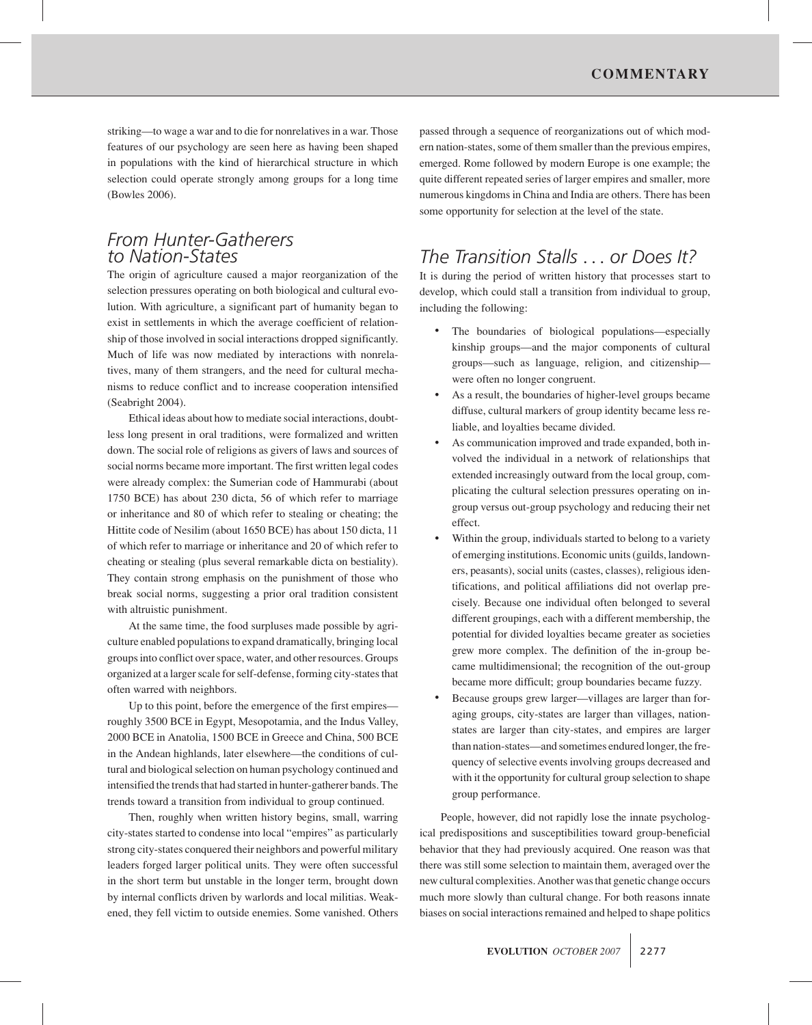striking—to wage a war and to die for nonrelatives in a war. Those features of our psychology are seen here as having been shaped in populations with the kind of hierarchical structure in which selection could operate strongly among groups for a long time (Bowles 2006).

#### *From Hunter-Gatherers to Nation-States*

The origin of agriculture caused a major reorganization of the selection pressures operating on both biological and cultural evolution. With agriculture, a significant part of humanity began to exist in settlements in which the average coefficient of relationship of those involved in social interactions dropped significantly. Much of life was now mediated by interactions with nonrelatives, many of them strangers, and the need for cultural mechanisms to reduce conflict and to increase cooperation intensified (Seabright 2004).

Ethical ideas about how to mediate social interactions, doubtless long present in oral traditions, were formalized and written down. The social role of religions as givers of laws and sources of social norms became more important. The first written legal codes were already complex: the Sumerian code of Hammurabi (about 1750 BCE) has about 230 dicta, 56 of which refer to marriage or inheritance and 80 of which refer to stealing or cheating; the Hittite code of Nesilim (about 1650 BCE) has about 150 dicta, 11 of which refer to marriage or inheritance and 20 of which refer to cheating or stealing (plus several remarkable dicta on bestiality). They contain strong emphasis on the punishment of those who break social norms, suggesting a prior oral tradition consistent with altruistic punishment.

At the same time, the food surpluses made possible by agriculture enabled populations to expand dramatically, bringing local groups into conflict over space, water, and other resources. Groups organized at a larger scale for self-defense, forming city-states that often warred with neighbors.

Up to this point, before the emergence of the first empires roughly 3500 BCE in Egypt, Mesopotamia, and the Indus Valley, 2000 BCE in Anatolia, 1500 BCE in Greece and China, 500 BCE in the Andean highlands, later elsewhere—the conditions of cultural and biological selection on human psychology continued and intensified the trends that had started in hunter-gatherer bands. The trends toward a transition from individual to group continued.

Then, roughly when written history begins, small, warring city-states started to condense into local "empires" as particularly strong city-states conquered their neighbors and powerful military leaders forged larger political units. They were often successful in the short term but unstable in the longer term, brought down by internal conflicts driven by warlords and local militias. Weakened, they fell victim to outside enemies. Some vanished. Others

passed through a sequence of reorganizations out of which modern nation-states, some of them smaller than the previous empires, emerged. Rome followed by modern Europe is one example; the quite different repeated series of larger empires and smaller, more numerous kingdoms in China and India are others. There has been some opportunity for selection at the level of the state.

# *The Transition Stalls* ... *or Does It?*

It is during the period of written history that processes start to develop, which could stall a transition from individual to group, including the following:

- The boundaries of biological populations—especially kinship groups—and the major components of cultural groups—such as language, religion, and citizenship were often no longer congruent.
- As a result, the boundaries of higher-level groups became diffuse, cultural markers of group identity became less reliable, and loyalties became divided.
- As communication improved and trade expanded, both involved the individual in a network of relationships that extended increasingly outward from the local group, complicating the cultural selection pressures operating on ingroup versus out-group psychology and reducing their net effect.
- Within the group, individuals started to belong to a variety of emerging institutions. Economic units (guilds, landowners, peasants), social units (castes, classes), religious identifications, and political affiliations did not overlap precisely. Because one individual often belonged to several different groupings, each with a different membership, the potential for divided loyalties became greater as societies grew more complex. The definition of the in-group became multidimensional; the recognition of the out-group became more difficult; group boundaries became fuzzy.
- Because groups grew larger—villages are larger than foraging groups, city-states are larger than villages, nationstates are larger than city-states, and empires are larger than nation-states—and sometimes endured longer, the frequency of selective events involving groups decreased and with it the opportunity for cultural group selection to shape group performance.

People, however, did not rapidly lose the innate psychological predispositions and susceptibilities toward group-beneficial behavior that they had previously acquired. One reason was that there was still some selection to maintain them, averaged over the new cultural complexities. Another was that genetic change occurs much more slowly than cultural change. For both reasons innate biases on social interactions remained and helped to shape politics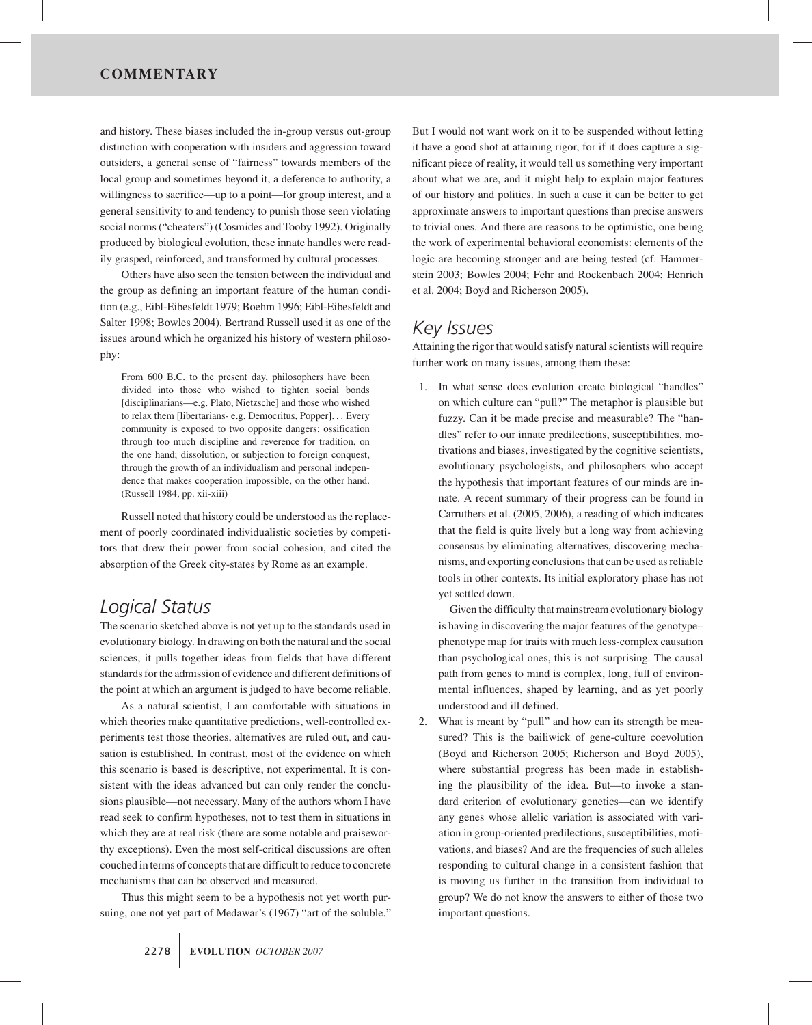and history. These biases included the in-group versus out-group distinction with cooperation with insiders and aggression toward outsiders, a general sense of "fairness" towards members of the local group and sometimes beyond it, a deference to authority, a willingness to sacrifice—up to a point—for group interest, and a general sensitivity to and tendency to punish those seen violating social norms ("cheaters") (Cosmides and Tooby 1992). Originally produced by biological evolution, these innate handles were readily grasped, reinforced, and transformed by cultural processes.

Others have also seen the tension between the individual and the group as defining an important feature of the human condition (e.g., Eibl-Eibesfeldt 1979; Boehm 1996; Eibl-Eibesfeldt and Salter 1998; Bowles 2004). Bertrand Russell used it as one of the issues around which he organized his history of western philosophy:

From 600 B.C. to the present day, philosophers have been divided into those who wished to tighten social bonds [disciplinarians—e.g. Plato, Nietzsche] and those who wished to relax them [libertarians- e.g. Democritus, Popper]... Every community is exposed to two opposite dangers: ossification through too much discipline and reverence for tradition, on the one hand; dissolution, or subjection to foreign conquest, through the growth of an individualism and personal independence that makes cooperation impossible, on the other hand. (Russell 1984, pp. xii-xiii)

Russell noted that history could be understood as the replacement of poorly coordinated individualistic societies by competitors that drew their power from social cohesion, and cited the absorption of the Greek city-states by Rome as an example.

## *Logical Status*

The scenario sketched above is not yet up to the standards used in evolutionary biology. In drawing on both the natural and the social sciences, it pulls together ideas from fields that have different standards for the admission of evidence and different definitions of the point at which an argument is judged to have become reliable.

As a natural scientist, I am comfortable with situations in which theories make quantitative predictions, well-controlled experiments test those theories, alternatives are ruled out, and causation is established. In contrast, most of the evidence on which this scenario is based is descriptive, not experimental. It is consistent with the ideas advanced but can only render the conclusions plausible—not necessary. Many of the authors whom I have read seek to confirm hypotheses, not to test them in situations in which they are at real risk (there are some notable and praiseworthy exceptions). Even the most self-critical discussions are often couched in terms of concepts that are difficult to reduce to concrete mechanisms that can be observed and measured.

Thus this might seem to be a hypothesis not yet worth pursuing, one not yet part of Medawar's (1967) "art of the soluble."

But I would not want work on it to be suspended without letting it have a good shot at attaining rigor, for if it does capture a significant piece of reality, it would tell us something very important about what we are, and it might help to explain major features of our history and politics. In such a case it can be better to get approximate answers to important questions than precise answers to trivial ones. And there are reasons to be optimistic, one being the work of experimental behavioral economists: elements of the logic are becoming stronger and are being tested (cf. Hammerstein 2003; Bowles 2004; Fehr and Rockenbach 2004; Henrich et al. 2004; Boyd and Richerson 2005).

### *Key Issues*

Attaining the rigor that would satisfy natural scientists will require further work on many issues, among them these:

1. In what sense does evolution create biological "handles" on which culture can "pull?" The metaphor is plausible but fuzzy. Can it be made precise and measurable? The "handles" refer to our innate predilections, susceptibilities, motivations and biases, investigated by the cognitive scientists, evolutionary psychologists, and philosophers who accept the hypothesis that important features of our minds are innate. A recent summary of their progress can be found in Carruthers et al. (2005, 2006), a reading of which indicates that the field is quite lively but a long way from achieving consensus by eliminating alternatives, discovering mechanisms, and exporting conclusions that can be used as reliable tools in other contexts. Its initial exploratory phase has not yet settled down.

Given the difficulty that mainstream evolutionary biology is having in discovering the major features of the genotype– phenotype map for traits with much less-complex causation than psychological ones, this is not surprising. The causal path from genes to mind is complex, long, full of environmental influences, shaped by learning, and as yet poorly understood and ill defined.

2. What is meant by "pull" and how can its strength be measured? This is the bailiwick of gene-culture coevolution (Boyd and Richerson 2005; Richerson and Boyd 2005), where substantial progress has been made in establishing the plausibility of the idea. But—to invoke a standard criterion of evolutionary genetics—can we identify any genes whose allelic variation is associated with variation in group-oriented predilections, susceptibilities, motivations, and biases? And are the frequencies of such alleles responding to cultural change in a consistent fashion that is moving us further in the transition from individual to group? We do not know the answers to either of those two important questions.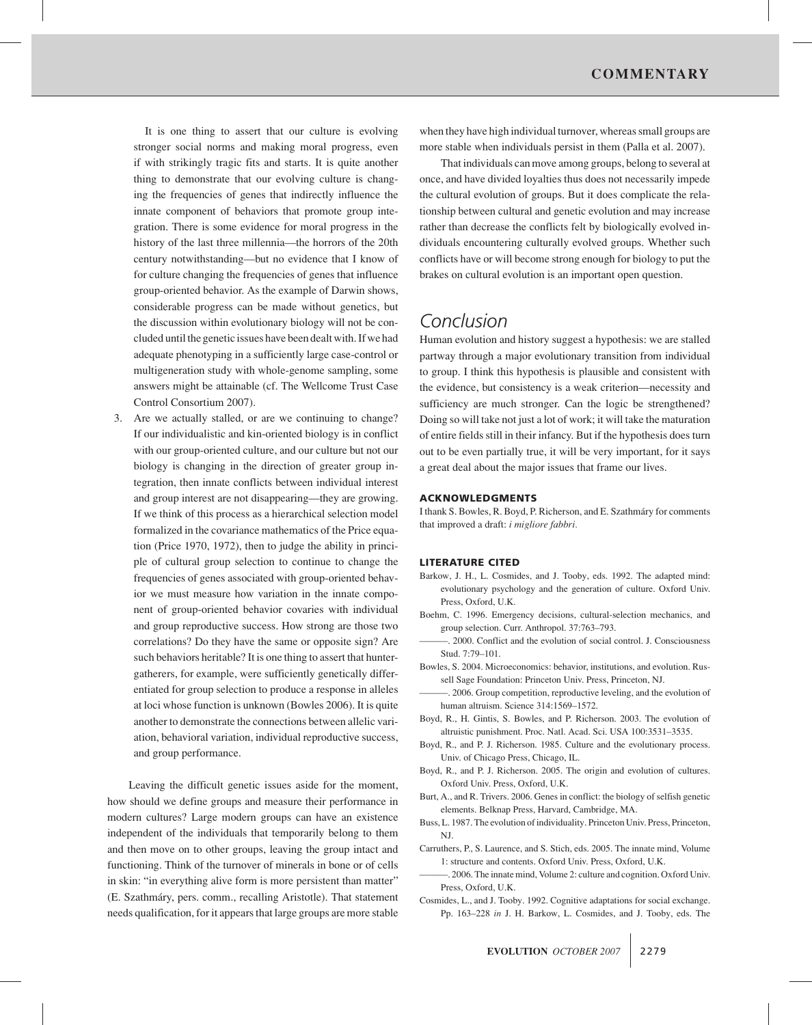It is one thing to assert that our culture is evolving stronger social norms and making moral progress, even if with strikingly tragic fits and starts. It is quite another thing to demonstrate that our evolving culture is changing the frequencies of genes that indirectly influence the innate component of behaviors that promote group integration. There is some evidence for moral progress in the history of the last three millennia—the horrors of the 20th century notwithstanding—but no evidence that I know of for culture changing the frequencies of genes that influence group-oriented behavior. As the example of Darwin shows, considerable progress can be made without genetics, but the discussion within evolutionary biology will not be concluded until the genetic issues have been dealt with. If we had adequate phenotyping in a sufficiently large case-control or multigeneration study with whole-genome sampling, some answers might be attainable (cf. The Wellcome Trust Case Control Consortium 2007).

3. Are we actually stalled, or are we continuing to change? If our individualistic and kin-oriented biology is in conflict with our group-oriented culture, and our culture but not our biology is changing in the direction of greater group integration, then innate conflicts between individual interest and group interest are not disappearing—they are growing. If we think of this process as a hierarchical selection model formalized in the covariance mathematics of the Price equation (Price 1970, 1972), then to judge the ability in principle of cultural group selection to continue to change the frequencies of genes associated with group-oriented behavior we must measure how variation in the innate component of group-oriented behavior covaries with individual and group reproductive success. How strong are those two correlations? Do they have the same or opposite sign? Are such behaviors heritable? It is one thing to assert that huntergatherers, for example, were sufficiently genetically differentiated for group selection to produce a response in alleles at loci whose function is unknown (Bowles 2006). It is quite another to demonstrate the connections between allelic variation, behavioral variation, individual reproductive success, and group performance.

Leaving the difficult genetic issues aside for the moment, how should we define groups and measure their performance in modern cultures? Large modern groups can have an existence independent of the individuals that temporarily belong to them and then move on to other groups, leaving the group intact and functioning. Think of the turnover of minerals in bone or of cells in skin: "in everything alive form is more persistent than matter" (E. Szathmary, pers. comm., recalling Aristotle). That statement ´ needs qualification, for it appears that large groups are more stable

when they have high individual turnover, whereas small groups are more stable when individuals persist in them (Palla et al. 2007).

That individuals can move among groups, belong to several at once, and have divided loyalties thus does not necessarily impede the cultural evolution of groups. But it does complicate the relationship between cultural and genetic evolution and may increase rather than decrease the conflicts felt by biologically evolved individuals encountering culturally evolved groups. Whether such conflicts have or will become strong enough for biology to put the brakes on cultural evolution is an important open question.

# *Conclusion*

Human evolution and history suggest a hypothesis: we are stalled partway through a major evolutionary transition from individual to group. I think this hypothesis is plausible and consistent with the evidence, but consistency is a weak criterion—necessity and sufficiency are much stronger. Can the logic be strengthened? Doing so will take not just a lot of work; it will take the maturation of entire fields still in their infancy. But if the hypothesis does turn out to be even partially true, it will be very important, for it says a great deal about the major issues that frame our lives.

#### **ACKNOWLEDGMENTS**

I thank S. Bowles, R. Boyd, P. Richerson, and E. Szathmáry for comments that improved a draft: *i migliore fabbri.*

#### **LITERATURE CITED**

- Barkow, J. H., L. Cosmides, and J. Tooby, eds. 1992. The adapted mind: evolutionary psychology and the generation of culture. Oxford Univ. Press, Oxford, U.K.
- Boehm, C. 1996. Emergency decisions, cultural-selection mechanics, and group selection. Curr. Anthropol. 37:763–793.
- ———. 2000. Conflict and the evolution of social control. J. Consciousness Stud. 7:79–101.
- Bowles, S. 2004. Microeconomics: behavior, institutions, and evolution. Russell Sage Foundation: Princeton Univ. Press, Princeton, NJ.
- -. 2006. Group competition, reproductive leveling, and the evolution of human altruism. Science 314:1569–1572.
- Boyd, R., H. Gintis, S. Bowles, and P. Richerson. 2003. The evolution of altruistic punishment. Proc. Natl. Acad. Sci. USA 100:3531–3535.
- Boyd, R., and P. J. Richerson. 1985. Culture and the evolutionary process. Univ. of Chicago Press, Chicago, IL.
- Boyd, R., and P. J. Richerson. 2005. The origin and evolution of cultures. Oxford Univ. Press, Oxford, U.K.
- Burt, A., and R. Trivers. 2006. Genes in conflict: the biology of selfish genetic elements. Belknap Press, Harvard, Cambridge, MA.
- Buss, L. 1987. The evolution of individuality. Princeton Univ. Press, Princeton, NJ.
- Carruthers, P., S. Laurence, and S. Stich, eds. 2005. The innate mind, Volume 1: structure and contents. Oxford Univ. Press, Oxford, U.K.
- ———. 2006. The innate mind, Volume 2: culture and cognition. Oxford Univ. Press, Oxford, U.K.
- Cosmides, L., and J. Tooby. 1992. Cognitive adaptations for social exchange. Pp. 163–228 *in* J. H. Barkow, L. Cosmides, and J. Tooby, eds. The